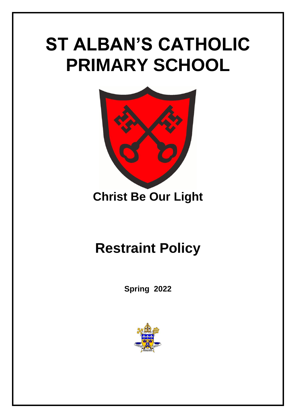# **ST ALBAN'S CATHOLIC PRIMARY SCHOOL**



### **Christ Be Our Light**

## **Restraint Policy**

**Spring 2022**

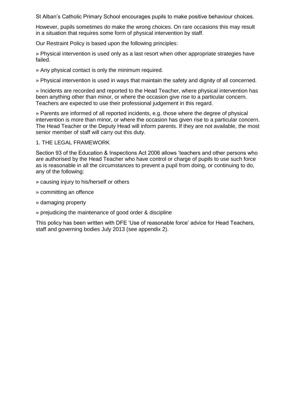St Alban's Catholic Primary School encourages pupils to make positive behaviour choices.

However, pupils sometimes do make the wrong choices. On rare occasions this may result in a situation that requires some form of physical intervention by staff.

Our Restraint Policy is based upon the following principles:

» Physical intervention is used only as a last resort when other appropriate strategies have failed.

- » Any physical contact is only the minimum required.
- » Physical intervention is used in ways that maintain the safety and dignity of all concerned.

» Incidents are recorded and reported to the Head Teacher, where physical intervention has been anything other than minor, or where the occasion give rise to a particular concern. Teachers are expected to use their professional judgement in this regard.

» Parents are informed of all reported incidents, e.g. those where the degree of physical intervention is more than minor, or where the occasion has given rise to a particular concern. The Head Teacher or the Deputy Head will inform parents. If they are not available, the most senior member of staff will carry out this duty.

#### 1. THE LEGAL FRAMEWORK

Section 93 of the Education & Inspections Act 2006 allows 'teachers and other persons who are authorised by the Head Teacher who have control or charge of pupils to use such force as is reasonable in all the circumstances to prevent a pupil from doing, or continuing to do, any of the following:

- » causing injury to his/herself or others
- » committing an offence
- » damaging property
- » prejudicing the maintenance of good order & discipline

This policy has been written with DFE 'Use of reasonable force' advice for Head Teachers, staff and governing bodies July 2013 (see appendix 2).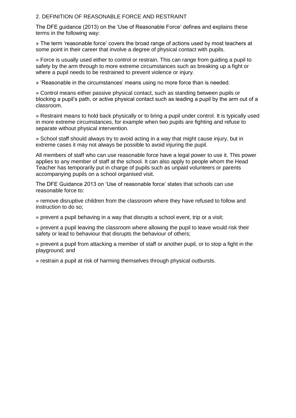#### 2. DEFINITION OF REASONABLE FORCE AND RESTRAINT

The DFE guidance (2013) on the 'Use of Reasonable Force' defines and explains these terms in the following way:

» The term 'reasonable force' covers the broad range of actions used by most teachers at some point in their career that involve a degree of physical contact with pupils.

» Force is usually used either to control or restrain. This can range from guiding a pupil to safety by the arm through to more extreme circumstances such as breaking up a fight or where a pupil needs to be restrained to prevent violence or injury.

» 'Reasonable in the circumstances' means using no more force than is needed.

» Control means either passive physical contact, such as standing between pupils or blocking a pupil's path, or active physical contact such as leading a pupil by the arm out of a classroom.

» Restraint means to hold back physically or to bring a pupil under control. It is typically used in more extreme circumstances, for example when two pupils are fighting and refuse to separate without physical intervention.

» School staff should always try to avoid acting in a way that might cause injury, but in extreme cases it may not always be possible to avoid injuring the pupil.

All members of staff who can use reasonable force have a legal power to use it. This power applies to any member of staff at the school. It can also apply to people whom the Head Teacher has temporarily put in charge of pupils such as unpaid volunteers or parents accompanying pupils on a school organised visit.

The DFE Guidance 2013 on 'Use of reasonable force' states that schools can use reasonable force to:

» remove disruptive children from the classroom where they have refused to follow and instruction to do so;

» prevent a pupil behaving in a way that disrupts a school event, trip or a visit;

» prevent a pupil leaving the classroom where allowing the pupil to leave would risk their safety or lead to behaviour that disrupts the behaviour of others;

» prevent a pupil from attacking a member of staff or another pupil, or to stop a fight in the playground; and

» restrain a pupil at risk of harming themselves through physical outbursts.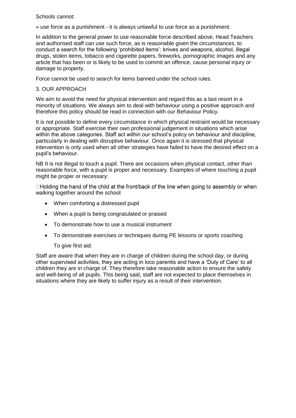#### Schools cannot:

» use force as a punishment - it is always unlawful to use force as a punishment.

In addition to the general power to use reasonable force described above, Head Teachers and authorised staff can use such force, as is reasonable given the circumstances, to conduct a search for the following 'prohibited items': knives and weapons, alcohol, illegal drugs, stolen items, tobacco and cigarette papers, fireworks, pornographic images and any article that has been or is likely to be used to commit an offence, cause personal injury or damage to property.

Force cannot be used to search for items banned under the school rules.

#### 3. OUR APPROACH

We aim to avoid the need for physical intervention and regard this as a last resort in a minority of situations. We always aim to deal with behaviour using a positive approach and therefore this policy should be read in connection with our Behaviour Policy.

It is not possible to define every circumstance in which physical restraint would be necessary or appropriate. Staff exercise their own professional judgement in situations which arise within the above categories. Staff act within our school's policy on behaviour and discipline, particularly in dealing with disruptive behaviour. Once again it is stressed that physical intervention is only used when all other strategies have failed to have the desired effect on a pupil's behaviour.

NB It is not illegal to touch a pupil. There are occasions when physical contact, other than reasonable force, with a pupil is proper and necessary. Examples of where touching a pupil might be proper or necessary:

 $\Box$  Holding the hand of the child at the front/back of the line when going to assembly or when walking together around the school

- When comforting a distressed pupil
- When a pupil is being congratulated or praised
- To demonstrate how to use a musical instrument
- To demonstrate exercises or techniques during PE lessons or sports coaching

#### To give first aid.

Staff are aware that when they are in charge of children during the school day, or during other supervised activities, they are acting in loco parentis and have a 'Duty of Care' to all children they are in charge of. They therefore take reasonable action to ensure the safety and well-being of all pupils. This being said, staff are not expected to place themselves in situations where they are likely to suffer injury as a result of their intervention.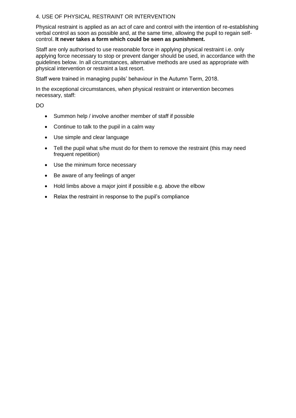#### 4. USE OF PHYSICAL RESTRAINT OR INTERVENTION

Physical restraint is applied as an act of care and control with the intention of re-establishing verbal control as soon as possible and, at the same time, allowing the pupil to regain selfcontrol. **It never takes a form which could be seen as punishment.** 

Staff are only authorised to use reasonable force in applying physical restraint i.e. only applying force necessary to stop or prevent danger should be used, in accordance with the guidelines below. In all circumstances, alternative methods are used as appropriate with physical intervention or restraint a last resort.

Staff were trained in managing pupils' behaviour in the Autumn Term, 2018.

In the exceptional circumstances, when physical restraint or intervention becomes necessary, staff:

DO

- Summon help / involve another member of staff if possible
- Continue to talk to the pupil in a calm way
- Use simple and clear language
- Tell the pupil what s/he must do for them to remove the restraint (this may need frequent repetition)
- Use the minimum force necessary
- Be aware of any feelings of anger
- Hold limbs above a major joint if possible e.g. above the elbow
- Relax the restraint in response to the pupil's compliance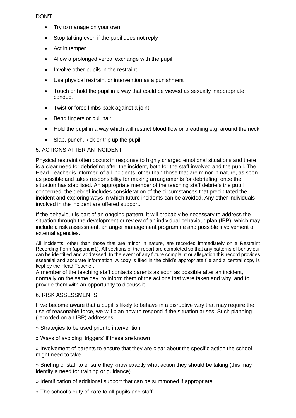#### DON'T

- Try to manage on your own
- Stop talking even if the pupil does not reply
- Act in temper
- Allow a prolonged verbal exchange with the pupil
- Involve other pupils in the restraint
- Use physical restraint or intervention as a punishment
- Touch or hold the pupil in a way that could be viewed as sexually inappropriate conduct
- Twist or force limbs back against a joint
- Bend fingers or pull hair
- Hold the pupil in a way which will restrict blood flow or breathing e.g. around the neck
- Slap, punch, kick or trip up the pupil

#### 5. ACTIONS AFTER AN INCIDENT

Physical restraint often occurs in response to highly charged emotional situations and there is a clear need for debriefing after the incident, both for the staff involved and the pupil. The Head Teacher is informed of all incidents, other than those that are minor in nature, as soon as possible and takes responsibility for making arrangements for debriefing, once the situation has stabilised. An appropriate member of the teaching staff debriefs the pupil concerned: the debrief includes consideration of the circumstances that precipitated the incident and exploring ways in which future incidents can be avoided. Any other individuals involved in the incident are offered support.

If the behaviour is part of an ongoing pattern, it will probably be necessary to address the situation through the development or review of an individual behaviour plan (IBP), which may include a risk assessment, an anger management programme and possible involvement of external agencies.

All incidents, other than those that are minor in nature, are recorded immediately on a Restraint Recording Form (appendix1). All sections of the report are completed so that any patterns of behaviour can be identified and addressed. In the event of any future complaint or allegation this record provides essential and accurate information. A copy is filed in the child's appropriate file and a central copy is kept by the Head Teacher.

A member of the teaching staff contacts parents as soon as possible after an incident, normally on the same day, to inform them of the actions that were taken and why, and to provide them with an opportunity to discuss it.

#### 6. RISK ASSESSMENTS

If we become aware that a pupil is likely to behave in a disruptive way that may require the use of reasonable force, we will plan how to respond if the situation arises. Such planning (recorded on an IBP) addresses:

- » Strategies to be used prior to intervention
- » Ways of avoiding 'triggers' if these are known

» Involvement of parents to ensure that they are clear about the specific action the school might need to take

» Briefing of staff to ensure they know exactly what action they should be taking (this may identify a need for training or guidance)

- » Identification of additional support that can be summoned if appropriate
- » The school's duty of care to all pupils and staff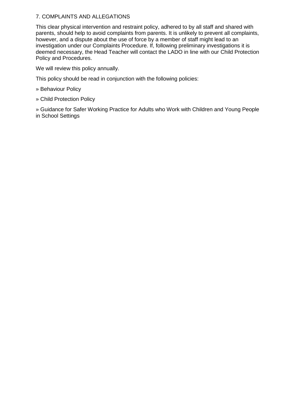#### 7. COMPLAINTS AND ALLEGATIONS

This clear physical intervention and restraint policy, adhered to by all staff and shared with parents, should help to avoid complaints from parents. It is unlikely to prevent all complaints, however, and a dispute about the use of force by a member of staff might lead to an investigation under our Complaints Procedure. If, following preliminary investigations it is deemed necessary, the Head Teacher will contact the LADO in line with our Child Protection Policy and Procedures.

We will review this policy annually.

This policy should be read in conjunction with the following policies:

- » Behaviour Policy
- » Child Protection Policy

» Guidance for Safer Working Practice for Adults who Work with Children and Young People in School Settings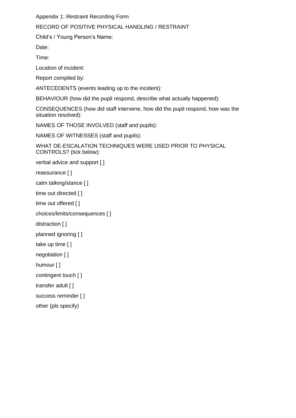Appendix 1: Restraint Recording Form

#### RECORD OF POSITIVE PHYSICAL HANDLING / RESTRAINT

Child's / Young Person's Name:

Date:

Time:

Location of incident:

Report compiled by:

ANTECEDENTS (events leading up to the incident):

BEHAVIOUR (how did the pupil respond, describe what actually happened):

CONSEQUENCES (how did staff intervene, how did the pupil respond, how was the situation resolved):

NAMES OF THOSE INVOLVED (staff and pupils):

NAMES OF WITNESSES (staff and pupils):

WHAT DE-ESCALATION TECHNIQUES WERE USED PRIOR TO PHYSICAL CONTROLS? (tick below):

```
verbal advice and support [ ] 
reassurance [ ] 
calm talking/stance [ ] 
time out directed [ ] 
time out offered [ ]
```

```
choices/limits/consequences [ ]
```
distraction [ ]

```
planned ignoring [ ]
```

```
take up time [ ]
```

```
negotiation [ ]
```

```
humour [ ]
```

```
contingent touch [ ]
```

```
transfer adult [ ]
```

```
success reminder [ ]
```

```
other (pls specify)
```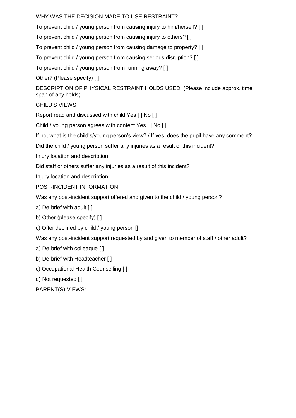WHY WAS THE DECISION MADE TO USE RESTRAINT?

To prevent child / young person from causing injury to him/herself? [ ]

To prevent child / young person from causing injury to others? [ ]

To prevent child / young person from causing damage to property? [ ]

To prevent child / young person from causing serious disruption? [ ]

To prevent child / young person from running away? [ ]

Other? (Please specify) [ ]

DESCRIPTION OF PHYSICAL RESTRAINT HOLDS USED: (Please include approx. time span of any holds)

CHILD'S VIEWS

Report read and discussed with child Yes [ ] No [ ]

Child / young person agrees with content Yes [ ] No [ ]

If no, what is the child's/young person's view? / If yes, does the pupil have any comment?

Did the child / young person suffer any injuries as a result of this incident?

Injury location and description:

Did staff or others suffer any injuries as a result of this incident?

Injury location and description:

POST-INCIDENT INFORMATION

Was any post-incident support offered and given to the child / young person?

a) De-brief with adult [ ]

b) Other (please specify) [ ]

c) Offer declined by child / young person []

Was any post-incident support requested by and given to member of staff / other adult?

a) De-brief with colleague [ ]

- b) De-brief with Headteacher [ ]
- c) Occupational Health Counselling [ ]

d) Not requested [ ]

PARENT(S) VIEWS: